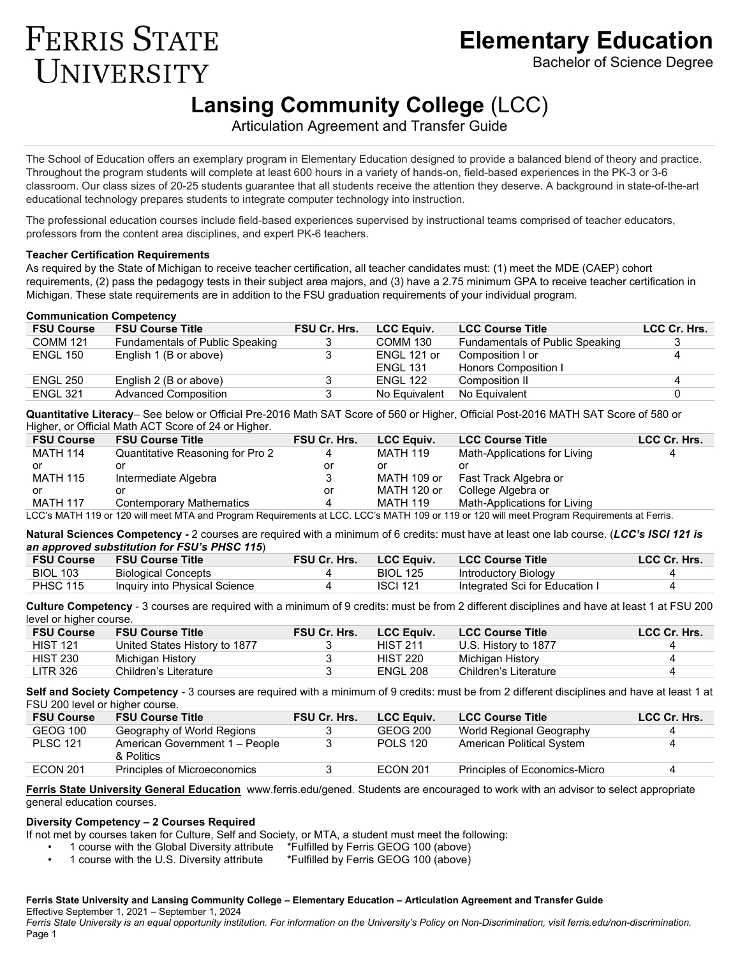# **Elementary Education**

Bachelor of Science Degree

# **Lansing Community College** (LCC)

Articulation Agreement and Transfer Guide

The School of Education offers an exemplary program in Elementary Education designed to provide a balanced blend of theory and practice. Throughout the program students will complete at least 600 hours in a variety of hands-on, field-based experiences in the PK-3 or 3-6 classroom. Our class sizes of 20-25 students guarantee that all students receive the attention they deserve. A background in state-of-the-art educational technology prepares students to integrate computer technology into instruction.

The professional education courses include field-based experiences supervised by instructional teams comprised of teacher educators, professors from the content area disciplines, and expert PK-6 teachers.

### **Teacher Certification Requirements**

**FERRIS STATE** 

UNIVERSITY

As required by the State of Michigan to receive teacher certification, all teacher candidates must: (1) meet the MDE (CAEP) cohort requirements, (2) pass the pedagogy tests in their subject area majors, and (3) have a 2.75 minimum GPA to receive teacher certification in Michigan. These state requirements are in addition to the FSU graduation requirements of your individual program.

### **Communication Competency**

| <b>FSU Course</b> | <b>FSU Course Title</b>         | <b>FSU Cr. Hrs.</b> | <b>LCC Equiv.</b> | <b>LCC Course Title</b>         | LCC Cr. Hrs. |
|-------------------|---------------------------------|---------------------|-------------------|---------------------------------|--------------|
| <b>COMM 121</b>   | Fundamentals of Public Speaking |                     | <b>COMM 130</b>   | Fundamentals of Public Speaking |              |
| <b>ENGL 150</b>   | English 1 (B or above)          |                     | ENGL 121 or       | Composition I or                |              |
|                   |                                 |                     | ENGL 131          | Honors Composition I            |              |
| <b>ENGL 250</b>   | English 2 (B or above)          |                     | ENGL 122          | Composition II                  |              |
| <b>ENGL 321</b>   | Advanced Composition            |                     | No Equivalent     | No Equivalent                   |              |

**Quantitative Literacy**– See below or Official Pre-2016 Math SAT Score of 560 or Higher, Official Post-2016 MATH SAT Score of 580 or Higher, or Official Math ACT Score of 24 or Higher.

| <b>FSU Course</b>                                                                                                                           | <b>FSU Course Title</b>          | FSU Cr. Hrs. | <b>LCC Equiv.</b> | <b>LCC Course Title</b>      | LCC Cr. Hrs. |  |  |
|---------------------------------------------------------------------------------------------------------------------------------------------|----------------------------------|--------------|-------------------|------------------------------|--------------|--|--|
| <b>MATH 114</b>                                                                                                                             | Quantitative Reasoning for Pro 2 |              | <b>MATH 119</b>   | Math-Applications for Living |              |  |  |
| or                                                                                                                                          | or                               | or           |                   |                              |              |  |  |
| <b>MATH 115</b>                                                                                                                             | Intermediate Algebra             |              | MATH 109 or       | Fast Track Algebra or        |              |  |  |
| or                                                                                                                                          | or                               | or           | MATH 120 or       | College Algebra or           |              |  |  |
| <b>MATH 117</b>                                                                                                                             | <b>Contemporary Mathematics</b>  |              | MATH 119          | Math-Applications for Living |              |  |  |
| LCC's MATH 119 or 120 will meet MTA and Program Requirements at LCC. LCC's MATH 109 or 119 or 120 will meet Program Requirements at Ferris. |                                  |              |                   |                              |              |  |  |

**Natural Sciences Competency -** 2 courses are required with a minimum of 6 credits: must have at least one lab course. (*LCC's ISCI 121 is* 

### *an approved substitution for FSU's PHSC 115*)

| <b>FSU Course</b> | <b>FSU Course Title</b>       | <b>FSU Cr. Hrs.</b> | <b>LCC Equiv.</b> | <b>LCC Course Title</b>        | LCC Cr. Hrs. |
|-------------------|-------------------------------|---------------------|-------------------|--------------------------------|--------------|
| <b>BIOL 103</b>   | Biological Concepts           |                     | <b>BIOL 125</b>   | Introductory Biology           |              |
| <b>PHSC 115</b>   | Inquiry into Physical Science |                     | <b>ISCI 121</b>   | Integrated Sci for Education I |              |
|                   |                               |                     |                   |                                |              |

**Culture Competency** - 3 courses are required with a minimum of 9 credits: must be from 2 different disciplines and have at least 1 at FSU 200 level or higher course.

| <b>FSU Course Title</b>       | <b>FSU Cr. Hrs.</b> | <b>LCC Equiv.</b> | <b>LCC Course Title</b> | LCC Cr. Hrs. |
|-------------------------------|---------------------|-------------------|-------------------------|--------------|
| United States History to 1877 |                     | <b>HIST 211</b>   | U.S. History to 1877    |              |
| Michigan History              |                     | <b>HIST 220</b>   | Michigan History        |              |
| Children's Literature         |                     | <b>ENGL 208</b>   | Children's Literature   |              |
|                               |                     |                   |                         |              |

**Self and Society Competency** - 3 courses are required with a minimum of 9 credits: must be from 2 different disciplines and have at least 1 at FSU 200 level or higher course.

| <b>FSU Course</b> | <b>FSU Course Title</b>                      | <b>FSU Cr. Hrs.</b> | <b>LCC Equiv.</b> | <b>LCC Course Title</b>       | LCC Cr. Hrs. |
|-------------------|----------------------------------------------|---------------------|-------------------|-------------------------------|--------------|
| GEOG 100          | Geography of World Regions                   |                     | GEOG 200          | World Regional Geography      |              |
| <b>PLSC 121</b>   | American Government 1 - People<br>& Politics |                     | <b>POLS 120</b>   | American Political System     |              |
| <b>ECON 201</b>   | Principles of Microeconomics                 |                     | <b>ECON 201</b>   | Principles of Economics-Micro |              |

**[Ferris State University General Education](https://www.ferris.edu/HTMLS/academics/general-education/index.htm)** [www.ferris.edu/gened.](http://www.ferris.edu/gened) Students are encouraged to work with an advisor to select appropriate general education courses.

# **Diversity Competency – 2 Courses Required**

If not met by courses taken for Culture, Self and Society, or MTA, a student must meet the following:

• 1 course with the Global Diversity attribute \*Fulfilled by Ferris GEOG 100 (above)

• 1 course with the U.S. Diversity attribute \*Fulfilled by Ferris GEOG 100 (above)

#### **Ferris State University and Lansing Community College – Elementary Education – Articulation Agreement and Transfer Guide** Effective September 1, 2021 – September 1, 2024 *Ferris State University is an equal opportunity institution. For information on the University's Policy on Non-Discrimination, visit ferris.edu/non-discrimination.* Page 1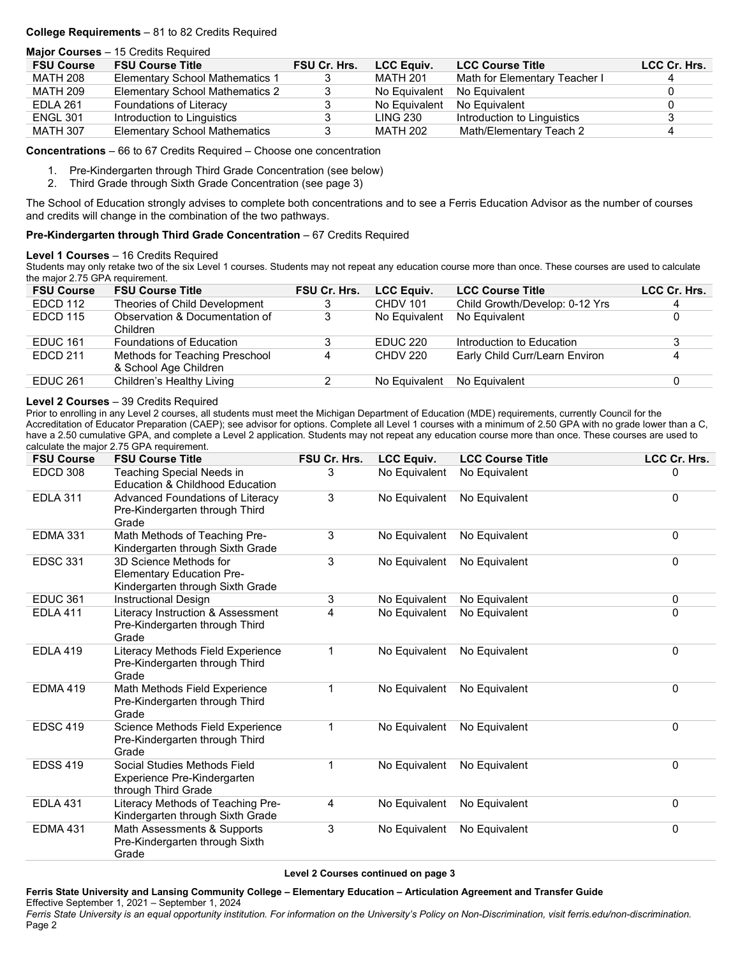## **College Requirements** – 81 to 82 Credits Required

|                   | <b>Major Courses - 15 Credits Required</b> |                     |                   |                               |              |
|-------------------|--------------------------------------------|---------------------|-------------------|-------------------------------|--------------|
| <b>FSU Course</b> | <b>FSU Course Title</b>                    | <b>FSU Cr. Hrs.</b> | <b>LCC Equiv.</b> | <b>LCC Course Title</b>       | LCC Cr. Hrs. |
| MATH 208          | <b>Elementary School Mathematics 1</b>     |                     | MATH 201          | Math for Elementary Teacher I |              |
| <b>MATH 209</b>   | Elementary School Mathematics 2            |                     | No Equivalent     | No Equivalent                 |              |
| EDLA 261          | Foundations of Literacy                    |                     | No Equivalent     | No Equivalent                 |              |
| <b>ENGL 301</b>   | Introduction to Linguistics                |                     | LING 230          | Introduction to Linguistics   |              |
| <b>MATH 307</b>   | <b>Elementary School Mathematics</b>       |                     | MATH 202          | Math/Elementary Teach 2       |              |

**Concentrations** – 66 to 67 Credits Required – Choose one concentration

- 1. Pre-Kindergarten through Third Grade Concentration (see below)
- 2. Third Grade through Sixth Grade Concentration (see page 3)

The School of Education strongly advises to complete both concentrations and to see a Ferris Education Advisor as the number of courses and credits will change in the combination of the two pathways.

### **Pre-Kindergarten through Third Grade Concentration** – 67 Credits Required

### **Level 1 Courses** – 16 Credits Required

Students may only retake two of the six Level 1 courses. Students may not repeat any education course more than once. These courses are used to calculate the major 2.75 GPA requirement.

| <b>FSU Course</b> | <b>FSU Course Title</b>                                 | FSU Cr. Hrs. | <b>LCC Equiv.</b> | <b>LCC Course Title</b>        | LCC Cr. Hrs. |
|-------------------|---------------------------------------------------------|--------------|-------------------|--------------------------------|--------------|
| EDCD 112          | Theories of Child Development                           |              | <b>CHDV 101</b>   | Child Growth/Develop: 0-12 Yrs |              |
| <b>EDCD 115</b>   | Observation & Documentation of<br>Children              |              | No Equivalent     | No Equivalent                  |              |
| <b>EDUC 161</b>   | <b>Foundations of Education</b>                         |              | <b>EDUC 220</b>   | Introduction to Education      |              |
| EDCD 211          | Methods for Teaching Preschool<br>& School Age Children | 4            | <b>CHDV 220</b>   | Early Child Curr/Learn Environ |              |
| EDUC 261          | Children's Healthy Living                               |              | No Equivalent     | No Equivalent                  |              |
|                   |                                                         |              |                   |                                |              |

### **Level 2 Courses** – 39 Credits Required

Prior to enrolling in any Level 2 courses, all students must meet the Michigan Department of Education (MDE) requirements, currently Council for the Accreditation of Educator Preparation (CAEP); see advisor for options. Complete all Level 1 courses with a minimum of 2.50 GPA with no grade lower than a C, have a 2.50 cumulative GPA, and complete a Level 2 application. Students may not repeat any education course more than once. These courses are used to calculate the major 2.75 GPA requirement.

| <b>FSU Course</b> | <b>FSU Course Title</b>                                                                        | FSU Cr. Hrs.   | <b>LCC Equiv.</b> | <b>LCC Course Title</b> | LCC Cr. Hrs. |
|-------------------|------------------------------------------------------------------------------------------------|----------------|-------------------|-------------------------|--------------|
| EDCD 308          | Teaching Special Needs in<br>Education & Childhood Education                                   | 3              | No Equivalent     | No Equivalent           | 0            |
| <b>EDLA 311</b>   | Advanced Foundations of Literacy<br>Pre-Kindergarten through Third<br>Grade                    | 3              | No Equivalent     | No Equivalent           | 0            |
| <b>EDMA 331</b>   | Math Methods of Teaching Pre-<br>Kindergarten through Sixth Grade                              | 3              | No Equivalent     | No Equivalent           | 0            |
| <b>EDSC 331</b>   | 3D Science Methods for<br><b>Elementary Education Pre-</b><br>Kindergarten through Sixth Grade | 3              | No Equivalent     | No Equivalent           | $\Omega$     |
| <b>EDUC 361</b>   | <b>Instructional Design</b>                                                                    | 3              | No Equivalent     | No Equivalent           | 0            |
| <b>EDLA 411</b>   | Literacy Instruction & Assessment<br>Pre-Kindergarten through Third<br>Grade                   | $\overline{4}$ | No Equivalent     | No Equivalent           | $\Omega$     |
| <b>EDLA 419</b>   | Literacy Methods Field Experience<br>Pre-Kindergarten through Third<br>Grade                   | 1              | No Equivalent     | No Equivalent           | $\Omega$     |
| <b>EDMA 419</b>   | Math Methods Field Experience<br>Pre-Kindergarten through Third<br>Grade                       | 1              | No Equivalent     | No Equivalent           | $\Omega$     |
| <b>EDSC 419</b>   | Science Methods Field Experience<br>Pre-Kindergarten through Third<br>Grade                    | 1              | No Equivalent     | No Equivalent           | 0            |
| <b>EDSS 419</b>   | Social Studies Methods Field<br>Experience Pre-Kindergarten<br>through Third Grade             | 1              | No Equivalent     | No Equivalent           | 0            |
| <b>EDLA 431</b>   | Literacy Methods of Teaching Pre-<br>Kindergarten through Sixth Grade                          | 4              | No Equivalent     | No Equivalent           | $\mathbf 0$  |
| <b>EDMA 431</b>   | Math Assessments & Supports<br>Pre-Kindergarten through Sixth<br>Grade                         | 3              | No Equivalent     | No Equivalent           | $\Omega$     |

**Level 2 Courses continued on page 3**

**Ferris State University and Lansing Community College – Elementary Education – Articulation Agreement and Transfer Guide** Effective September 1, 2021 – September 1, 2024 *Ferris State University is an equal opportunity institution. For information on the University's Policy on Non-Discrimination, visit ferris.edu/non-discrimination.* Page 2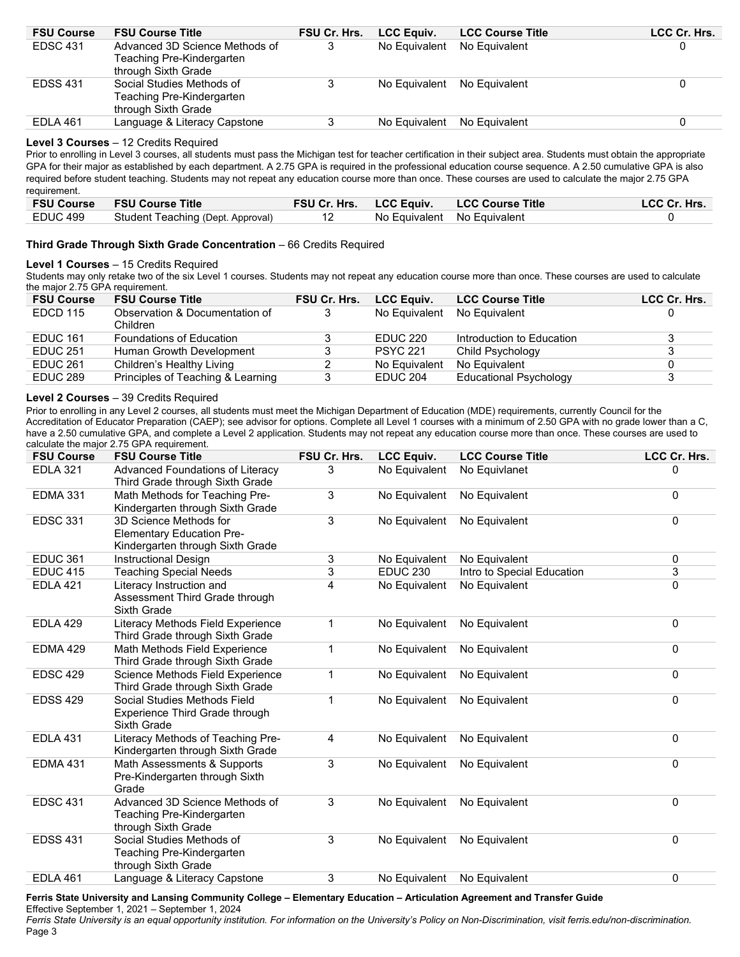| <b>FSU Course</b> | <b>FSU Course Title</b>        | FSU Cr. Hrs. | <b>LCC Equiv.</b> | <b>LCC Course Title</b> | LCC Cr. Hrs. |
|-------------------|--------------------------------|--------------|-------------------|-------------------------|--------------|
| <b>EDSC 431</b>   | Advanced 3D Science Methods of |              | No Equivalent     | No Equivalent           |              |
|                   | Teaching Pre-Kindergarten      |              |                   |                         |              |
|                   | through Sixth Grade            |              |                   |                         |              |
| <b>EDSS 431</b>   | Social Studies Methods of      |              | No Equivalent     | No Equivalent           |              |
|                   | Teaching Pre-Kindergarten      |              |                   |                         |              |
|                   | through Sixth Grade            |              |                   |                         |              |
| EDLA 461          | Language & Literacy Capstone   |              | No Equivalent     | No Equivalent           |              |
|                   |                                |              |                   |                         |              |

### **Level 3 Courses** – 12 Credits Required

Prior to enrolling in Level 3 courses, all students must pass the Michigan test for teacher certification in their subject area. Students must obtain the appropriate GPA for their major as established by each department. A 2.75 GPA is required in the professional education course sequence. A 2.50 cumulative GPA is also required before student teaching. Students may not repeat any education course more than once. These courses are used to calculate the major 2.75 GPA requirement.

|          | <b>FSU Course FSU Course Title</b> |                             | <b>FSU Cr. Hrs. LCC Equiv. LCC Course Title</b> | LCC Cr. Hrs. |
|----------|------------------------------------|-----------------------------|-------------------------------------------------|--------------|
| EDUC 499 | Student Teaching (Dept. Approval)  | No Equivalent No Equivalent |                                                 |              |

### **Third Grade Through Sixth Grade Concentration** – 66 Credits Required

### **Level 1 Courses** – 15 Credits Required

Students may only retake two of the six Level 1 courses. Students may not repeat any education course more than once. These courses are used to calculate the major 2.75 GPA requirement.

| <b>FSU Course</b> | <b>FSU Course Title</b>                    | <b>FSU Cr. Hrs.</b> | <b>LCC Equiv.</b> | <b>LCC Course Title</b>       | LCC Cr. Hrs. |
|-------------------|--------------------------------------------|---------------------|-------------------|-------------------------------|--------------|
| <b>EDCD 115</b>   | Observation & Documentation of<br>Children |                     | No Equivalent     | No Equivalent                 |              |
| <b>EDUC 161</b>   | <b>Foundations of Education</b>            |                     | <b>EDUC 220</b>   | Introduction to Education     |              |
| EDUC 251          | Human Growth Development                   |                     | <b>PSYC 221</b>   | Child Psychology              |              |
| <b>EDUC 261</b>   | Children's Healthy Living                  |                     | No Equivalent     | No Equivalent                 |              |
| <b>EDUC 289</b>   | Principles of Teaching & Learning          |                     | EDUC 204          | <b>Educational Psychology</b> |              |

### **Level 2 Courses** – 39 Credits Required

Prior to enrolling in any Level 2 courses, all students must meet the Michigan Department of Education (MDE) requirements, currently Council for the Accreditation of Educator Preparation (CAEP); see advisor for options. Complete all Level 1 courses with a minimum of 2.50 GPA with no grade lower than a C, have a 2.50 cumulative GPA, and complete a Level 2 application. Students may not repeat any education course more than once. These courses are used to calculate the major 2.75 GPA requirement.

| <b>EDLA 321</b><br>Advanced Foundations of Literacy<br>No Equivalent<br>3<br>No Equivlanet<br>0<br>Third Grade through Sixth Grade<br>3<br><b>EDMA 331</b><br>Math Methods for Teaching Pre-<br>No Equivalent<br>No Equivalent<br>0<br>Kindergarten through Sixth Grade<br>3<br><b>EDSC 331</b><br>0<br>3D Science Methods for<br>No Equivalent<br>No Equivalent<br><b>Elementary Education Pre-</b><br>Kindergarten through Sixth Grade<br><b>EDUC 361</b><br>3<br><b>Instructional Design</b><br>No Equivalent<br>0<br>No Equivalent<br>3<br>3<br><b>EDUC 415</b><br><b>EDUC 230</b><br><b>Teaching Special Needs</b><br>Intro to Special Education<br>Literacy Instruction and<br>4<br>No Equivalent<br>0<br><b>EDLA 421</b><br>No Equivalent<br>Assessment Third Grade through<br>Sixth Grade<br><b>EDLA 429</b><br>No Equivalent<br>No Equivalent<br>0<br>Literacy Methods Field Experience<br>$\mathbf 1$<br>Third Grade through Sixth Grade<br>Math Methods Field Experience<br>0<br><b>EDMA 429</b><br>1<br>No Equivalent<br>No Equivalent<br>Third Grade through Sixth Grade<br><b>EDSC 429</b><br>0<br>Science Methods Field Experience<br>No Equivalent<br>1<br>No Equivalent<br>Third Grade through Sixth Grade<br>Social Studies Methods Field<br><b>EDSS 429</b><br>$\mathbf 1$<br>0<br>No Equivalent<br>No Equivalent<br>Experience Third Grade through<br>Sixth Grade<br><b>EDLA 431</b><br>Literacy Methods of Teaching Pre-<br>No Equivalent<br>No Equivalent<br>0<br>4<br>Kindergarten through Sixth Grade<br>3<br>Math Assessments & Supports<br>No Equivalent<br>No Equivalent<br><b>EDMA 431</b><br>0<br>Pre-Kindergarten through Sixth<br>Grade<br><b>EDSC 431</b><br>Advanced 3D Science Methods of<br>3<br>0<br>No Equivalent<br>No Equivalent<br>Teaching Pre-Kindergarten<br>through Sixth Grade<br>3<br><b>EDSS 431</b><br>Social Studies Methods of<br>0<br>No Equivalent<br>No Equivalent<br>Teaching Pre-Kindergarten<br>through Sixth Grade<br><b>EDLA 461</b><br>3<br>Language & Literacy Capstone<br>No Equivalent<br>No Equivalent<br>0 | <b>FSU Course</b> | <b>FSU Course Title</b> | FSU Cr. Hrs. | <b>LCC Equiv.</b> | <b>LCC Course Title</b> | LCC Cr. Hrs. |
|----------------------------------------------------------------------------------------------------------------------------------------------------------------------------------------------------------------------------------------------------------------------------------------------------------------------------------------------------------------------------------------------------------------------------------------------------------------------------------------------------------------------------------------------------------------------------------------------------------------------------------------------------------------------------------------------------------------------------------------------------------------------------------------------------------------------------------------------------------------------------------------------------------------------------------------------------------------------------------------------------------------------------------------------------------------------------------------------------------------------------------------------------------------------------------------------------------------------------------------------------------------------------------------------------------------------------------------------------------------------------------------------------------------------------------------------------------------------------------------------------------------------------------------------------------------------------------------------------------------------------------------------------------------------------------------------------------------------------------------------------------------------------------------------------------------------------------------------------------------------------------------------------------------------------------------------------------------------------------------------------------------------------------------------------------------------------|-------------------|-------------------------|--------------|-------------------|-------------------------|--------------|
|                                                                                                                                                                                                                                                                                                                                                                                                                                                                                                                                                                                                                                                                                                                                                                                                                                                                                                                                                                                                                                                                                                                                                                                                                                                                                                                                                                                                                                                                                                                                                                                                                                                                                                                                                                                                                                                                                                                                                                                                                                                                            |                   |                         |              |                   |                         |              |
|                                                                                                                                                                                                                                                                                                                                                                                                                                                                                                                                                                                                                                                                                                                                                                                                                                                                                                                                                                                                                                                                                                                                                                                                                                                                                                                                                                                                                                                                                                                                                                                                                                                                                                                                                                                                                                                                                                                                                                                                                                                                            |                   |                         |              |                   |                         |              |
|                                                                                                                                                                                                                                                                                                                                                                                                                                                                                                                                                                                                                                                                                                                                                                                                                                                                                                                                                                                                                                                                                                                                                                                                                                                                                                                                                                                                                                                                                                                                                                                                                                                                                                                                                                                                                                                                                                                                                                                                                                                                            |                   |                         |              |                   |                         |              |
|                                                                                                                                                                                                                                                                                                                                                                                                                                                                                                                                                                                                                                                                                                                                                                                                                                                                                                                                                                                                                                                                                                                                                                                                                                                                                                                                                                                                                                                                                                                                                                                                                                                                                                                                                                                                                                                                                                                                                                                                                                                                            |                   |                         |              |                   |                         |              |
|                                                                                                                                                                                                                                                                                                                                                                                                                                                                                                                                                                                                                                                                                                                                                                                                                                                                                                                                                                                                                                                                                                                                                                                                                                                                                                                                                                                                                                                                                                                                                                                                                                                                                                                                                                                                                                                                                                                                                                                                                                                                            |                   |                         |              |                   |                         |              |
|                                                                                                                                                                                                                                                                                                                                                                                                                                                                                                                                                                                                                                                                                                                                                                                                                                                                                                                                                                                                                                                                                                                                                                                                                                                                                                                                                                                                                                                                                                                                                                                                                                                                                                                                                                                                                                                                                                                                                                                                                                                                            |                   |                         |              |                   |                         |              |
|                                                                                                                                                                                                                                                                                                                                                                                                                                                                                                                                                                                                                                                                                                                                                                                                                                                                                                                                                                                                                                                                                                                                                                                                                                                                                                                                                                                                                                                                                                                                                                                                                                                                                                                                                                                                                                                                                                                                                                                                                                                                            |                   |                         |              |                   |                         |              |
|                                                                                                                                                                                                                                                                                                                                                                                                                                                                                                                                                                                                                                                                                                                                                                                                                                                                                                                                                                                                                                                                                                                                                                                                                                                                                                                                                                                                                                                                                                                                                                                                                                                                                                                                                                                                                                                                                                                                                                                                                                                                            |                   |                         |              |                   |                         |              |
|                                                                                                                                                                                                                                                                                                                                                                                                                                                                                                                                                                                                                                                                                                                                                                                                                                                                                                                                                                                                                                                                                                                                                                                                                                                                                                                                                                                                                                                                                                                                                                                                                                                                                                                                                                                                                                                                                                                                                                                                                                                                            |                   |                         |              |                   |                         |              |
|                                                                                                                                                                                                                                                                                                                                                                                                                                                                                                                                                                                                                                                                                                                                                                                                                                                                                                                                                                                                                                                                                                                                                                                                                                                                                                                                                                                                                                                                                                                                                                                                                                                                                                                                                                                                                                                                                                                                                                                                                                                                            |                   |                         |              |                   |                         |              |
|                                                                                                                                                                                                                                                                                                                                                                                                                                                                                                                                                                                                                                                                                                                                                                                                                                                                                                                                                                                                                                                                                                                                                                                                                                                                                                                                                                                                                                                                                                                                                                                                                                                                                                                                                                                                                                                                                                                                                                                                                                                                            |                   |                         |              |                   |                         |              |
|                                                                                                                                                                                                                                                                                                                                                                                                                                                                                                                                                                                                                                                                                                                                                                                                                                                                                                                                                                                                                                                                                                                                                                                                                                                                                                                                                                                                                                                                                                                                                                                                                                                                                                                                                                                                                                                                                                                                                                                                                                                                            |                   |                         |              |                   |                         |              |
|                                                                                                                                                                                                                                                                                                                                                                                                                                                                                                                                                                                                                                                                                                                                                                                                                                                                                                                                                                                                                                                                                                                                                                                                                                                                                                                                                                                                                                                                                                                                                                                                                                                                                                                                                                                                                                                                                                                                                                                                                                                                            |                   |                         |              |                   |                         |              |
|                                                                                                                                                                                                                                                                                                                                                                                                                                                                                                                                                                                                                                                                                                                                                                                                                                                                                                                                                                                                                                                                                                                                                                                                                                                                                                                                                                                                                                                                                                                                                                                                                                                                                                                                                                                                                                                                                                                                                                                                                                                                            |                   |                         |              |                   |                         |              |
|                                                                                                                                                                                                                                                                                                                                                                                                                                                                                                                                                                                                                                                                                                                                                                                                                                                                                                                                                                                                                                                                                                                                                                                                                                                                                                                                                                                                                                                                                                                                                                                                                                                                                                                                                                                                                                                                                                                                                                                                                                                                            |                   |                         |              |                   |                         |              |

**Ferris State University and Lansing Community College – Elementary Education – Articulation Agreement and Transfer Guide**

Effective September 1, 2021 – September 1, 2024

*Ferris State University is an equal opportunity institution. For information on the University's Policy on Non-Discrimination, visit ferris.edu/non-discrimination.* Page 3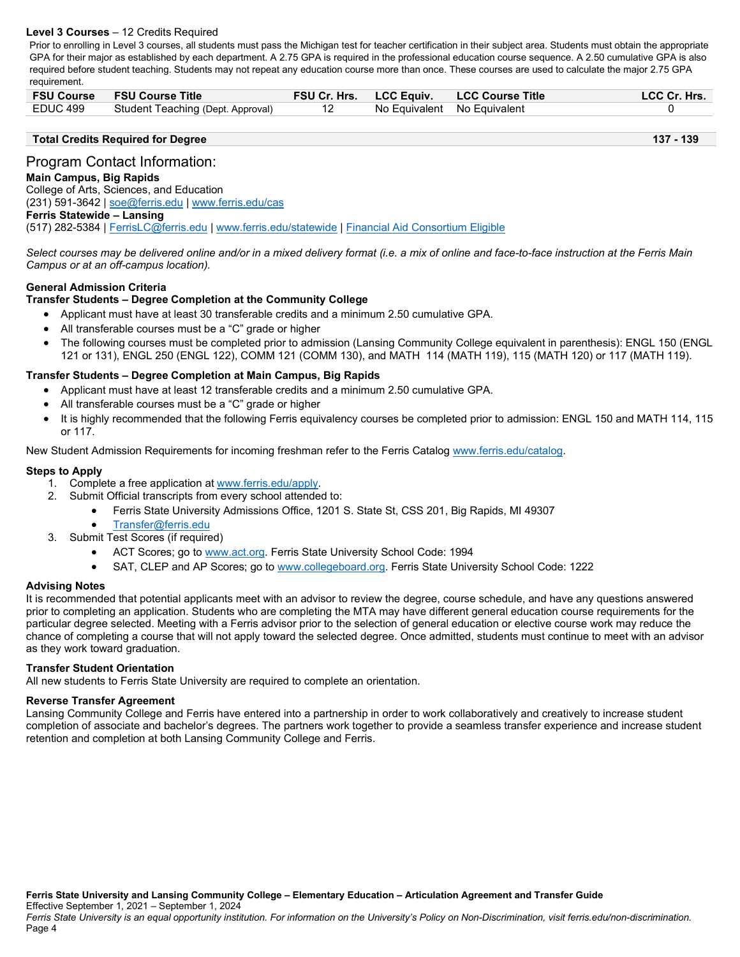## **Level 3 Courses** – 12 Credits Required

Prior to enrolling in Level 3 courses, all students must pass the Michigan test for teacher certification in their subject area. Students must obtain the appropriate GPA for their major as established by each department. A 2.75 GPA is required in the professional education course sequence. A 2.50 cumulative GPA is also required before student teaching. Students may not repeat any education course more than once. These courses are used to calculate the major 2.75 GPA requirement.

|          | <b>FSU Course FSU Course Title</b> |                             | FSU Cr. Hrs. LCC Equiv. LCC Course Title | <b>LCC Cr. Hrs.</b> |
|----------|------------------------------------|-----------------------------|------------------------------------------|---------------------|
| EDUC 499 | Student Teaching (Dept. Approval)  | No Equivalent No Equivalent |                                          |                     |

### **Total Credits Required for Degree 137 - 139**

# Program Contact Information:

# **Main Campus, Big Rapids**

College of Arts, Sciences, and Education (231) 591-3642 [| soe@ferris.edu](mailto:soe@ferris.edu) | [www.ferris.edu/cas](http://www.ferris.edu/cas) **Ferris Statewide – Lansing** (517) 282-5384 | [FerrisLC@ferris.edu](mailto:FerrisLC@ferris.edu) | [www.ferris.edu/statewide](http://www.ferris.edu/statewide) | [Financial Aid Consortium Eligible](https://www.ferris.edu/admissions/financialaid/consortiumarrangements.htm)

*Select courses may be delivered online and/or in a mixed delivery format (i.e. a mix of online and face-to-face instruction at the Ferris Main Campus or at an off-campus location).*

# **General Admission Criteria**

### **Transfer Students – Degree Completion at the Community College**

- Applicant must have at least 30 transferable credits and a minimum 2.50 cumulative GPA.
- All transferable courses must be a "C" grade or higher
- The following courses must be completed prior to admission (Lansing Community College equivalent in parenthesis): ENGL 150 (ENGL 121 or 131), ENGL 250 (ENGL 122), COMM 121 (COMM 130), and MATH 114 (MATH 119), 115 (MATH 120) or 117 (MATH 119).

### **Transfer Students – Degree Completion at Main Campus, Big Rapids**

- Applicant must have at least 12 transferable credits and a minimum 2.50 cumulative GPA.
- All transferable courses must be a "C" grade or higher
- It is highly recommended that the following Ferris equivalency courses be completed prior to admission: ENGL 150 and MATH 114, 115 or 117.

New Student Admission Requirements for incoming freshman refer to the Ferris Catalog [www.ferris.edu/catalog.](http://www.ferris.edu/catalog)

### **Steps to Apply**

- 1. Complete a free application at [www.ferris.edu/apply.](http://www.ferris.edu/apply)
- 2. Submit Official transcripts from every school attended to:
	- Ferris State University Admissions Office, 1201 S. State St, CSS 201, Big Rapids, MI 49307
		- [Transfer@ferris.edu](mailto:Transfer@ferris.edu)
- 3. Submit Test Scores (if required)
	- ACT Scores; go to [www.act.org.](http://www.act.org/) Ferris State University School Code: 1994
	- SAT, CLEP and AP Scores; go to [www.collegeboard.org.](http://www.collegeboard.org/) Ferris State University School Code: 1222

### **Advising Notes**

It is recommended that potential applicants meet with an advisor to review the degree, course schedule, and have any questions answered prior to completing an application. Students who are completing the MTA may have different general education course requirements for the particular degree selected. Meeting with a Ferris advisor prior to the selection of general education or elective course work may reduce the chance of completing a course that will not apply toward the selected degree. Once admitted, students must continue to meet with an advisor as they work toward graduation.

### **Transfer Student Orientation**

All new students to Ferris State University are required to complete an orientation.

### **Reverse Transfer Agreement**

Lansing Community College and Ferris have entered into a partnership in order to work collaboratively and creatively to increase student completion of associate and bachelor's degrees. The partners work together to provide a seamless transfer experience and increase student retention and completion at both Lansing Community College and Ferris.